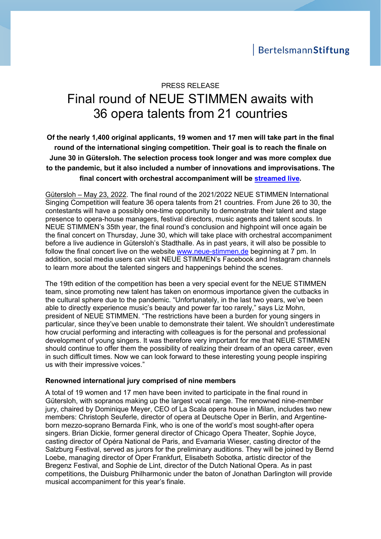# PRESS RELEASE Final round of NEUE STIMMEN awaits with 36 opera talents from 21 countries

**Of the nearly 1,400 original applicants, 19 women and 17 men will take part in the final round of the international singing competition. Their goal is to reach the finale on June 30 in Gütersloh. The selection process took longer and was more complex due to the pandemic, but it also included a number of innovations and improvisations. The final concert with orchestral accompaniment will be [streamed live.](https://neue-stimmen.de/)**

Gütersloh – May 23, 2022. The final round of the 2021/2022 NEUE STIMMEN International Singing Competition will feature 36 opera talents from 21 countries. From June 26 to 30, the contestants will have a possibly one-time opportunity to demonstrate their talent and stage presence to opera-house managers, festival directors, music agents and talent scouts. In NEUE STIMMEN's 35th year, the final round's conclusion and highpoint will once again be the final concert on Thursday, June 30, which will take place with orchestral accompaniment before a live audience in Gütersloh's Stadthalle. As in past years, it will also be possible to follow the final concert live on the website [www.neue-stimmen.de](http://www.neue-stimmen.de/) beginning at 7 pm. In addition, social media users can visit NEUE STIMMEN's Facebook and Instagram channels to learn more about the talented singers and happenings behind the scenes.

The 19th edition of the competition has been a very special event for the NEUE STIMMEN team, since promoting new talent has taken on enormous importance given the cutbacks in the cultural sphere due to the pandemic. "Unfortunately, in the last two years, we've been able to directly experience music's beauty and power far too rarely," says Liz Mohn, president of NEUE STIMMEN. "The restrictions have been a burden for young singers in particular, since they've been unable to demonstrate their talent. We shouldn't underestimate how crucial performing and interacting with colleagues is for the personal and professional development of young singers. It was therefore very important for me that NEUE STIMMEN should continue to offer them the possibility of realizing their dream of an opera career, even in such difficult times. Now we can look forward to these interesting young people inspiring us with their impressive voices."

### **Renowned international jury comprised of nine members**

A total of 19 women and 17 men have been invited to participate in the final round in Gütersloh, with sopranos making up the largest vocal range. The renowned nine-member jury, chaired by Dominique Meyer, CEO of La Scala opera house in Milan, includes two new members: Christoph Seuferle, director of opera at Deutsche Oper in Berlin, and Argentineborn mezzo-soprano Bernarda Fink, who is one of the world's most sought-after opera singers. Brian Dickie, former general director of Chicago Opera Theater, Sophie Joyce, casting director of Opéra National de Paris, and Evamaria Wieser, casting director of the Salzburg Festival, served as jurors for the preliminary auditions. They will be joined by Bernd Loebe, managing director of Oper Frankfurt, Elisabeth Sobotka, artistic director of the Bregenz Festival, and Sophie de Lint, director of the Dutch National Opera. As in past competitions, the Duisburg Philharmonic under the baton of Jonathan Darlington will provide musical accompaniment for this year's finale.